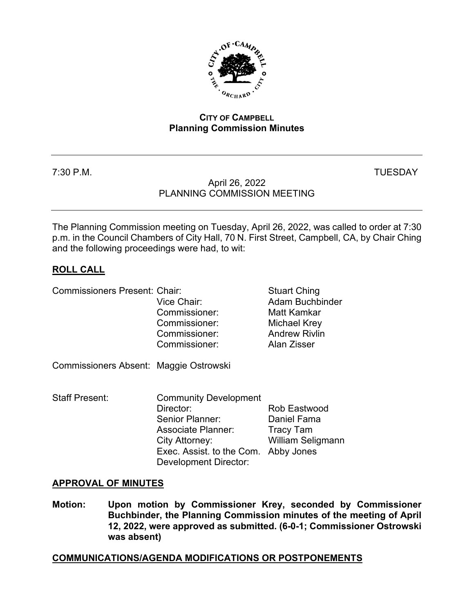

## **CITY OF CAMPBELL Planning Commission Minutes**

# 7:30 P.M. TUESDAY

# April 26, 2022 PLANNING COMMISSION MEETING

The Planning Commission meeting on Tuesday, April 26, 2022, was called to order at 7:30 p.m. in the Council Chambers of City Hall, 70 N. First Street, Campbell, CA, by Chair Ching and the following proceedings were had, to wit:

# **ROLL CALL**

Commissioners Present: Chair: Stuart Ching

| OUITIIIIISSIOITUIS TTUSUITI. OITUIT    |                              | Uludil Villiy            |
|----------------------------------------|------------------------------|--------------------------|
|                                        | Vice Chair:                  | <b>Adam Buchbinder</b>   |
|                                        | Commissioner:                | Matt Kamkar              |
|                                        | Commissioner:                | Michael Krey             |
|                                        | Commissioner:                | <b>Andrew Rivlin</b>     |
|                                        | Commissioner:                | Alan Zisser              |
| Commissioners Absent: Maggie Ostrowski |                              |                          |
| <b>Staff Present:</b>                  | <b>Community Development</b> |                          |
|                                        | Director:                    | Rob Eastwood             |
|                                        | Senior Planner:              | Daniel Fama              |
|                                        | <b>Associate Planner:</b>    | Tracy Tam                |
|                                        | City Attorney:               | <b>William Seligmann</b> |
|                                        | Exec. Assist. to the Com.    | Abby Jones               |
|                                        | Development Director:        |                          |

## **APPROVAL OF MINUTES**

**Motion: Upon motion by Commissioner Krey, seconded by Commissioner Buchbinder, the Planning Commission minutes of the meeting of April 12, 2022, were approved as submitted. (6-0-1; Commissioner Ostrowski was absent)**

### **COMMUNICATIONS/AGENDA MODIFICATIONS OR POSTPONEMENTS**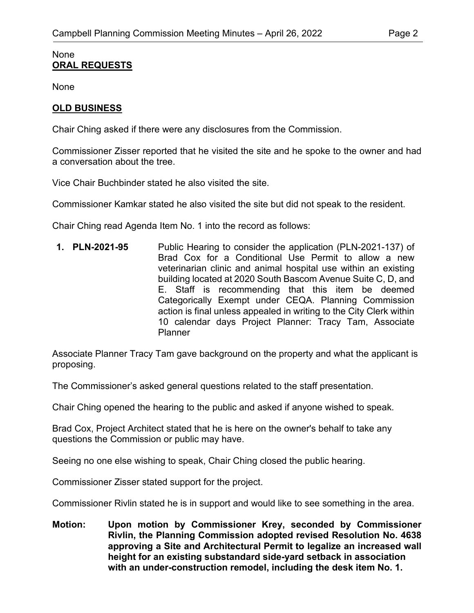#### None **ORAL REQUESTS**

None

# **OLD BUSINESS**

Chair Ching asked if there were any disclosures from the Commission.

Commissioner Zisser reported that he visited the site and he spoke to the owner and had a conversation about the tree.

Vice Chair Buchbinder stated he also visited the site.

Commissioner Kamkar stated he also visited the site but did not speak to the resident.

Chair Ching read Agenda Item No. 1 into the record as follows:

**1. PLN-2021-95** Public Hearing to consider the application (PLN-2021-137) of Brad Cox for a Conditional Use Permit to allow a new veterinarian clinic and animal hospital use within an existing building located at 2020 South Bascom Avenue Suite C, D, and E. Staff is recommending that this item be deemed Categorically Exempt under CEQA. Planning Commission action is final unless appealed in writing to the City Clerk within 10 calendar days Project Planner: Tracy Tam, Associate Planner

Associate Planner Tracy Tam gave background on the property and what the applicant is proposing.

The Commissioner's asked general questions related to the staff presentation.

Chair Ching opened the hearing to the public and asked if anyone wished to speak.

Brad Cox, Project Architect stated that he is here on the owner's behalf to take any questions the Commission or public may have.

Seeing no one else wishing to speak, Chair Ching closed the public hearing.

Commissioner Zisser stated support for the project.

Commissioner Rivlin stated he is in support and would like to see something in the area.

**Motion: Upon motion by Commissioner Krey, seconded by Commissioner Rivlin, the Planning Commission adopted revised Resolution No. 4638 approving a Site and Architectural Permit to legalize an increased wall height for an existing substandard side-yard setback in association with an under-construction remodel, including the desk item No. 1.**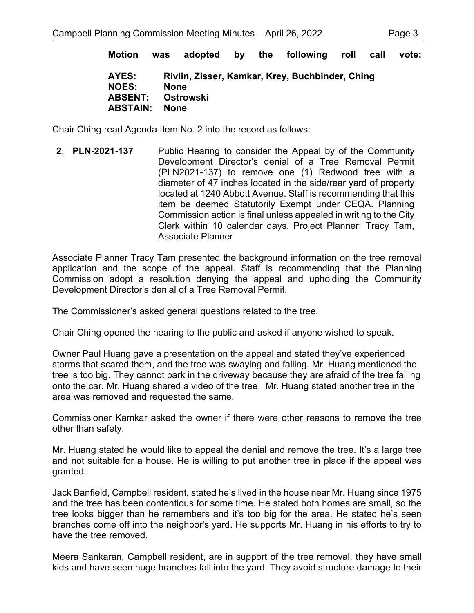**Motion was adopted by the following roll call vote:**

| AYES:                    | Rivlin, Zisser, Kamkar, Krey, Buchbinder, Ching |
|--------------------------|-------------------------------------------------|
| <b>NOES:</b>             | <b>None</b>                                     |
| <b>ABSENT: Ostrowski</b> |                                                 |
| <b>ABSTAIN:</b>          | None                                            |

Chair Ching read Agenda Item No. 2 into the record as follows:

**2**. **PLN-2021-137** Public Hearing to consider the Appeal by of the Community Development Director's denial of a Tree Removal Permit (PLN2021-137) to remove one (1) Redwood tree with a diameter of 47 inches located in the side/rear yard of property located at 1240 Abbott Avenue. Staff is recommending that this item be deemed Statutorily Exempt under CEQA. Planning Commission action is final unless appealed in writing to the City Clerk within 10 calendar days. Project Planner: Tracy Tam, Associate Planner

Associate Planner Tracy Tam presented the background information on the tree removal application and the scope of the appeal. Staff is recommending that the Planning Commission adopt a resolution denying the appeal and upholding the Community Development Director's denial of a Tree Removal Permit.

The Commissioner's asked general questions related to the tree.

Chair Ching opened the hearing to the public and asked if anyone wished to speak.

Owner Paul Huang gave a presentation on the appeal and stated they've experienced storms that scared them, and the tree was swaying and falling. Mr. Huang mentioned the tree is too big. They cannot park in the driveway because they are afraid of the tree falling onto the car. Mr. Huang shared a video of the tree. Mr. Huang stated another tree in the area was removed and requested the same.

Commissioner Kamkar asked the owner if there were other reasons to remove the tree other than safety.

Mr. Huang stated he would like to appeal the denial and remove the tree. It's a large tree and not suitable for a house. He is willing to put another tree in place if the appeal was granted.

Jack Banfield, Campbell resident, stated he's lived in the house near Mr. Huang since 1975 and the tree has been contentious for some time. He stated both homes are small, so the tree looks bigger than he remembers and it's too big for the area. He stated he's seen branches come off into the neighbor's yard. He supports Mr. Huang in his efforts to try to have the tree removed.

Meera Sankaran, Campbell resident, are in support of the tree removal, they have small kids and have seen huge branches fall into the yard. They avoid structure damage to their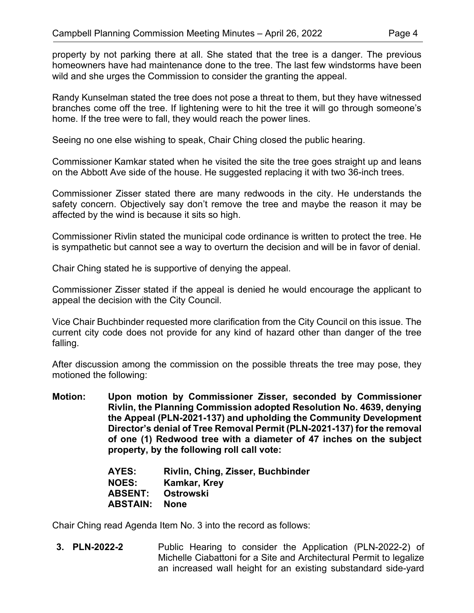property by not parking there at all. She stated that the tree is a danger. The previous homeowners have had maintenance done to the tree. The last few windstorms have been wild and she urges the Commission to consider the granting the appeal.

Randy Kunselman stated the tree does not pose a threat to them, but they have witnessed branches come off the tree. If lightening were to hit the tree it will go through someone's home. If the tree were to fall, they would reach the power lines.

Seeing no one else wishing to speak, Chair Ching closed the public hearing.

Commissioner Kamkar stated when he visited the site the tree goes straight up and leans on the Abbott Ave side of the house. He suggested replacing it with two 36-inch trees.

Commissioner Zisser stated there are many redwoods in the city. He understands the safety concern. Objectively say don't remove the tree and maybe the reason it may be affected by the wind is because it sits so high.

Commissioner Rivlin stated the municipal code ordinance is written to protect the tree. He is sympathetic but cannot see a way to overturn the decision and will be in favor of denial.

Chair Ching stated he is supportive of denying the appeal.

Commissioner Zisser stated if the appeal is denied he would encourage the applicant to appeal the decision with the City Council.

Vice Chair Buchbinder requested more clarification from the City Council on this issue. The current city code does not provide for any kind of hazard other than danger of the tree falling.

After discussion among the commission on the possible threats the tree may pose, they motioned the following:

**Motion: Upon motion by Commissioner Zisser, seconded by Commissioner Rivlin, the Planning Commission adopted Resolution No. 4639, denying the Appeal (PLN-2021-137) and upholding the Community Development Director's denial of Tree Removal Permit (PLN-2021-137) for the removal of one (1) Redwood tree with a diameter of 47 inches on the subject property, by the following roll call vote:**

| AYES:           | Rivlin, Ching, Zisser, Buchbinder |
|-----------------|-----------------------------------|
| <b>NOES:</b>    | Kamkar, Krey                      |
| <b>ABSENT:</b>  | Ostrowski                         |
| <b>ABSTAIN:</b> | None                              |

Chair Ching read Agenda Item No. 3 into the record as follows:

**3. PLN-2022-2** Public Hearing to consider the Application (PLN-2022-2) of Michelle Ciabattoni for a Site and Architectural Permit to legalize an increased wall height for an existing substandard side-yard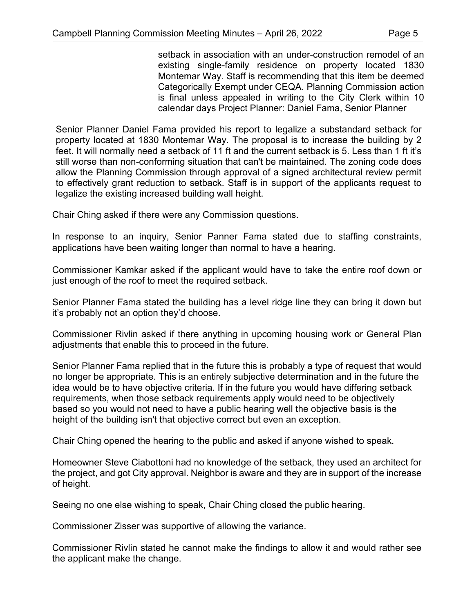setback in association with an under-construction remodel of an existing single-family residence on property located 1830 Montemar Way. Staff is recommending that this item be deemed Categorically Exempt under CEQA. Planning Commission action is final unless appealed in writing to the City Clerk within 10 calendar days Project Planner: Daniel Fama, Senior Planner

Senior Planner Daniel Fama provided his report to legalize a substandard setback for property located at 1830 Montemar Way. The proposal is to increase the building by 2 feet. It will normally need a setback of 11 ft and the current setback is 5. Less than 1 ft it's still worse than non-conforming situation that can't be maintained. The zoning code does allow the Planning Commission through approval of a signed architectural review permit to effectively grant reduction to setback. Staff is in support of the applicants request to legalize the existing increased building wall height.

Chair Ching asked if there were any Commission questions.

In response to an inquiry, Senior Panner Fama stated due to staffing constraints, applications have been waiting longer than normal to have a hearing.

Commissioner Kamkar asked if the applicant would have to take the entire roof down or just enough of the roof to meet the required setback.

Senior Planner Fama stated the building has a level ridge line they can bring it down but it's probably not an option they'd choose.

Commissioner Rivlin asked if there anything in upcoming housing work or General Plan adjustments that enable this to proceed in the future.

Senior Planner Fama replied that in the future this is probably a type of request that would no longer be appropriate. This is an entirely subjective determination and in the future the idea would be to have objective criteria. If in the future you would have differing setback requirements, when those setback requirements apply would need to be objectively based so you would not need to have a public hearing well the objective basis is the height of the building isn't that objective correct but even an exception.

Chair Ching opened the hearing to the public and asked if anyone wished to speak.

Homeowner Steve Ciabottoni had no knowledge of the setback, they used an architect for the project, and got City approval. Neighbor is aware and they are in support of the increase of height.

Seeing no one else wishing to speak, Chair Ching closed the public hearing.

Commissioner Zisser was supportive of allowing the variance.

Commissioner Rivlin stated he cannot make the findings to allow it and would rather see the applicant make the change.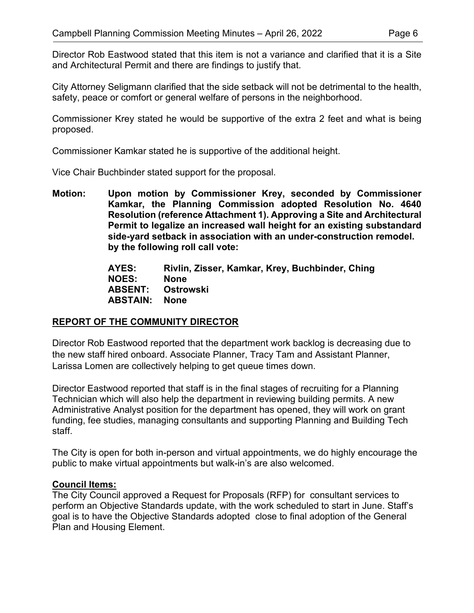Director Rob Eastwood stated that this item is not a variance and clarified that it is a Site and Architectural Permit and there are findings to justify that.

City Attorney Seligmann clarified that the side setback will not be detrimental to the health, safety, peace or comfort or general welfare of persons in the neighborhood.

Commissioner Krey stated he would be supportive of the extra 2 feet and what is being proposed.

Commissioner Kamkar stated he is supportive of the additional height.

Vice Chair Buchbinder stated support for the proposal.

**Motion: Upon motion by Commissioner Krey, seconded by Commissioner Kamkar, the Planning Commission adopted Resolution No. 4640 Resolution (reference Attachment 1). Approving a Site and Architectural Permit to legalize an increased wall height for an existing substandard side-yard setback in association with an under-construction remodel. by the following roll call vote:**

> **AYES: Rivlin, Zisser, Kamkar, Krey, Buchbinder, Ching NOES: None**<br>**ABSENT: Ostrowski ABSENT: Ostrowski ABSTAIN: None**

## **REPORT OF THE COMMUNITY DIRECTOR**

Director Rob Eastwood reported that the department work backlog is decreasing due to the new staff hired onboard. Associate Planner, Tracy Tam and Assistant Planner, Larissa Lomen are collectively helping to get queue times down.

Director Eastwood reported that staff is in the final stages of recruiting for a Planning Technician which will also help the department in reviewing building permits. A new Administrative Analyst position for the department has opened, they will work on grant funding, fee studies, managing consultants and supporting Planning and Building Tech staff.

The City is open for both in-person and virtual appointments, we do highly encourage the public to make virtual appointments but walk-in's are also welcomed.

## **Council Items:**

The City Council approved a Request for Proposals (RFP) for consultant services to perform an Objective Standards update, with the work scheduled to start in June. Staff's goal is to have the Objective Standards adopted close to final adoption of the General Plan and Housing Element.